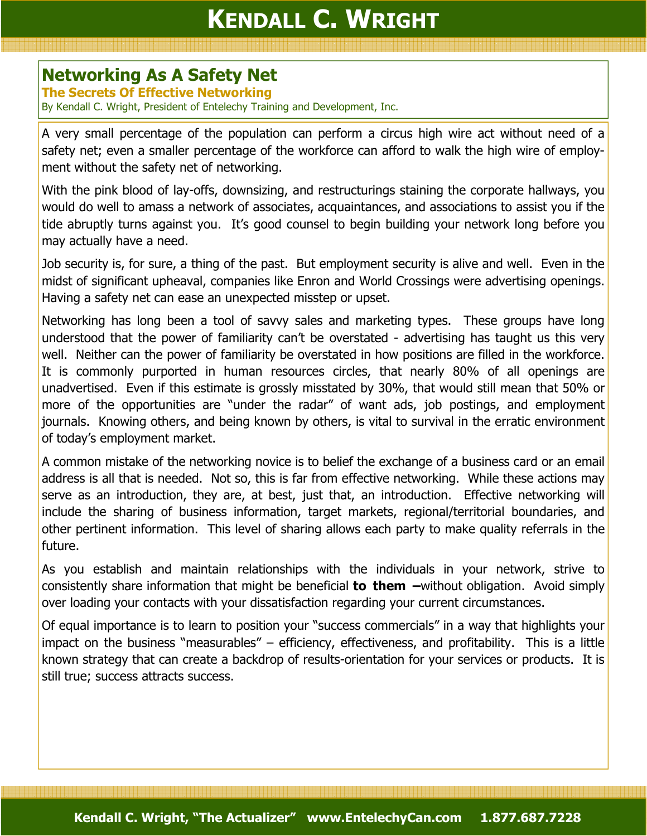## KENDALL C. WRIGHT

## Networking As A Safety Net

The Secrets Of Effective Networking

By Kendall C. Wright, President of Entelechy Training and Development, Inc.

A very small percentage of the population can perform a circus high wire act without need of a safety net; even a smaller percentage of the workforce can afford to walk the high wire of employment without the safety net of networking.

With the pink blood of lay-offs, downsizing, and restructurings staining the corporate hallways, you would do well to amass a network of associates, acquaintances, and associations to assist you if the tide abruptly turns against you. It's good counsel to begin building your network long before you may actually have a need.

Job security is, for sure, a thing of the past. But employment security is alive and well. Even in the midst of significant upheaval, companies like Enron and World Crossings were advertising openings. Having a safety net can ease an unexpected misstep or upset.

Networking has long been a tool of savvy sales and marketing types. These groups have long understood that the power of familiarity can't be overstated - advertising has taught us this very well. Neither can the power of familiarity be overstated in how positions are filled in the workforce. It is commonly purported in human resources circles, that nearly 80% of all openings are unadvertised. Even if this estimate is grossly misstated by 30%, that would still mean that 50% or more of the opportunities are "under the radar" of want ads, job postings, and employment journals. Knowing others, and being known by others, is vital to survival in the erratic environment of today's employment market.

A common mistake of the networking novice is to belief the exchange of a business card or an email address is all that is needed. Not so, this is far from effective networking. While these actions may serve as an introduction, they are, at best, just that, an introduction. Effective networking will include the sharing of business information, target markets, regional/territorial boundaries, and other pertinent information. This level of sharing allows each party to make quality referrals in the future.

As you establish and maintain relationships with the individuals in your network, strive to consistently share information that might be beneficial **to them**  $-wi$ thout obligation. Avoid simply over loading your contacts with your dissatisfaction regarding your current circumstances.

Of equal importance is to learn to position your "success commercials" in a way that highlights your impact on the business "measurables" – efficiency, effectiveness, and profitability. This is a little known strategy that can create a backdrop of results-orientation for your services or products. It is still true; success attracts success.